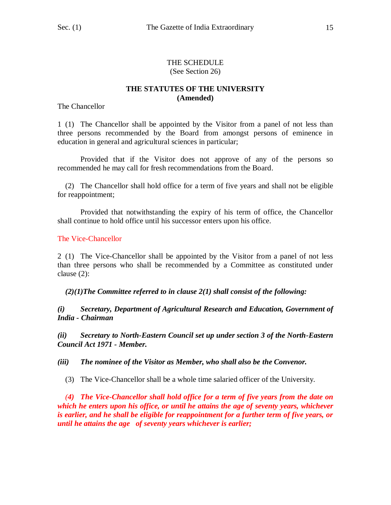#### THE SCHEDULE (See Section 26)

## **THE STATUTES OF THE UNIVERSITY (Amended)**

The Chancellor

1 (1) The Chancellor shall be appointed by the Visitor from a panel of not less than three persons recommended by the Board from amongst persons of eminence in education in general and agricultural sciences in particular;

Provided that if the Visitor does not approve of any of the persons so recommended he may call for fresh recommendations from the Board.

 (2) The Chancellor shall hold office for a term of five years and shall not be eligible for reappointment;

Provided that notwithstanding the expiry of his term of office, the Chancellor shall continue to hold office until his successor enters upon his office.

The Vice-Chancellor

2 (1) The Vice-Chancellor shall be appointed by the Visitor from a panel of not less than three persons who shall be recommended by a Committee as constituted under clause (2):

*(2)(1)The Committee referred to in clause 2(1) shall consist of the following:*

*(i) Secretary, Department of Agricultural Research and Education, Government of India - Chairman*

*(ii) Secretary to North-Eastern Council set up under section 3 of the North-Eastern Council Act 1971 - Member.*

*(iii) The nominee of the Visitor as Member, who shall also be the Convenor.*

(3) The Vice-Chancellor shall be a whole time salaried officer of the University.

 *(4) The Vice-Chancellor shall hold office for a term of five years from the date on which he enters upon his office, or until he attains the age of seventy years, whichever is earlier, and he shall be eligible for reappointment for a further term of five years, or until he attains the age of seventy years whichever is earlier;*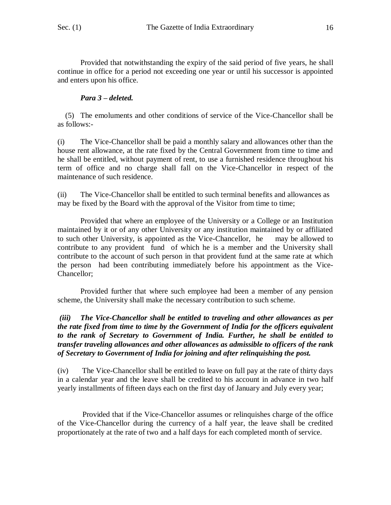Provided that notwithstanding the expiry of the said period of five years, he shall continue in office for a period not exceeding one year or until his successor is appointed and enters upon his office.

# *Para 3 – deleted.*

 (5) The emoluments and other conditions of service of the Vice-Chancellor shall be as follows:-

(i) The Vice-Chancellor shall be paid a monthly salary and allowances other than the house rent allowance, at the rate fixed by the Central Government from time to time and he shall be entitled, without payment of rent, to use a furnished residence throughout his term of office and no charge shall fall on the Vice-Chancellor in respect of the maintenance of such residence.

(ii) The Vice-Chancellor shall be entitled to such terminal benefits and allowances as may be fixed by the Board with the approval of the Visitor from time to time;

Provided that where an employee of the University or a College or an Institution maintained by it or of any other University or any institution maintained by or affiliated to such other University, is appointed as the Vice-Chancellor, he may be allowed to contribute to any provident fund of which he is a member and the University shall contribute to the account of such person in that provident fund at the same rate at which the person had been contributing immediately before his appointment as the Vice-Chancellor;

Provided further that where such employee had been a member of any pension scheme, the University shall make the necessary contribution to such scheme.

*(iii) The Vice-Chancellor shall be entitled to traveling and other allowances as per the rate fixed from time to time by the Government of India for the officers equivalent to the rank of Secretary to Government of India. Further, he shall be entitled to transfer traveling allowances and other allowances as admissible to officers of the rank of Secretary to Government of India for joining and after relinquishing the post.*

(iv) The Vice-Chancellor shall be entitled to leave on full pay at the rate of thirty days in a calendar year and the leave shall be credited to his account in advance in two half yearly installments of fifteen days each on the first day of January and July every year;

Provided that if the Vice-Chancellor assumes or relinquishes charge of the office of the Vice-Chancellor during the currency of a half year, the leave shall be credited proportionately at the rate of two and a half days for each completed month of service.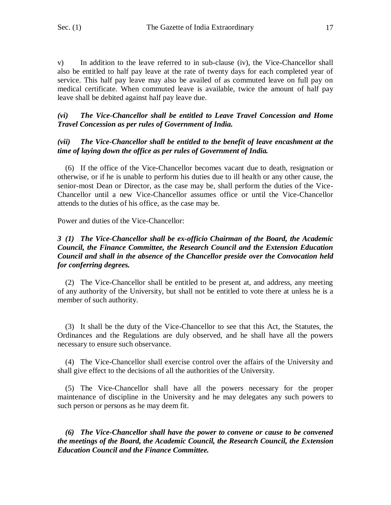v) In addition to the leave referred to in sub-clause (iv), the Vice-Chancellor shall also be entitled to half pay leave at the rate of twenty days for each completed year of service. This half pay leave may also be availed of as commuted leave on full pay on medical certificate. When commuted leave is available, twice the amount of half pay leave shall be debited against half pay leave due.

#### *(vi) The Vice-Chancellor shall be entitled to Leave Travel Concession and Home Travel Concession as per rules of Government of India.*

#### *(vii) The Vice-Chancellor shall be entitled to the benefit of leave encashment at the time of laying down the office as per rules of Government of India.*

 (6) If the office of the Vice-Chancellor becomes vacant due to death, resignation or otherwise, or if he is unable to perform his duties due to ill health or any other cause, the senior-most Dean or Director, as the case may be, shall perform the duties of the Vice-Chancellor until a new Vice-Chancellor assumes office or until the Vice-Chancellor attends to the duties of his office, as the case may be.

Power and duties of the Vice-Chancellor:

#### *3 (1) The Vice-Chancellor shall be ex-officio Chairman of the Board, the Academic Council, the Finance Committee, the Research Council and the Extension Education Council and shall in the absence of the Chancellor preside over the Convocation held for conferring degrees.*

 (2) The Vice-Chancellor shall be entitled to be present at, and address, any meeting of any authority of the University, but shall not be entitled to vote there at unless he is a member of such authority.

 (3) It shall be the duty of the Vice-Chancellor to see that this Act, the Statutes, the Ordinances and the Regulations are duly observed, and he shall have all the powers necessary to ensure such observance.

 (4) The Vice-Chancellor shall exercise control over the affairs of the University and shall give effect to the decisions of all the authorities of the University.

 (5) The Vice-Chancellor shall have all the powers necessary for the proper maintenance of discipline in the University and he may delegates any such powers to such person or persons as he may deem fit.

 *(6) The Vice-Chancellor shall have the power to convene or cause to be convened the meetings of the Board, the Academic Council, the Research Council, the Extension Education Council and the Finance Committee.*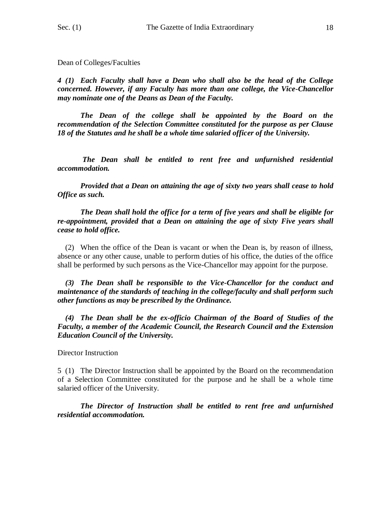Dean of Colleges/Faculties

*4 (1) Each Faculty shall have a Dean who shall also be the head of the College concerned. However, if any Faculty has more than one college, the Vice-Chancellor may nominate one of the Deans as Dean of the Faculty.*

*The Dean of the college shall be appointed by the Board on the recommendation of the Selection Committee constituted for the purpose as per Clause 18 of the Statutes and he shall be a whole time salaried officer of the University.*

*The Dean shall be entitled to rent free and unfurnished residential accommodation.*

*Provided that a Dean on attaining the age of sixty two years shall cease to hold Office as such.*

*The Dean shall hold the office for a term of five years and shall be eligible for re-appointment, provided that a Dean on attaining the age of sixty Five years shall cease to hold office.*

 (2) When the office of the Dean is vacant or when the Dean is, by reason of illness, absence or any other cause, unable to perform duties of his office, the duties of the office shall be performed by such persons as the Vice-Chancellor may appoint for the purpose.

 *(3) The Dean shall be responsible to the Vice-Chancellor for the conduct and maintenance of the standards of teaching in the college/faculty and shall perform such other functions as may be prescribed by the Ordinance.* 

*(4) The Dean shall be the ex-officio Chairman of the Board of Studies of the Faculty, a member of the Academic Council, the Research Council and the Extension Education Council of the University.*

Director Instruction

5 (1) The Director Instruction shall be appointed by the Board on the recommendation of a Selection Committee constituted for the purpose and he shall be a whole time salaried officer of the University.

*The Director of Instruction shall be entitled to rent free and unfurnished residential accommodation.*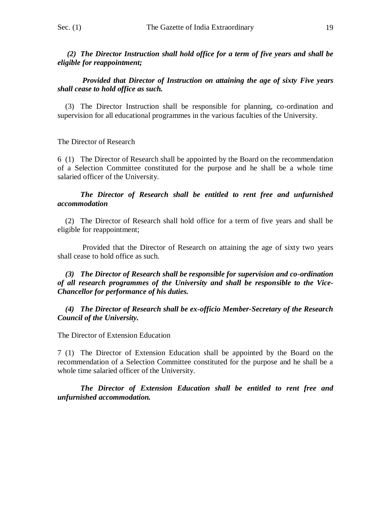*(2) The Director Instruction shall hold office for a term of five years and shall be eligible for reappointment;*

#### *Provided that Director of Instruction on attaining the age of sixty Five years shall cease to hold office as such.*

 (3) The Director Instruction shall be responsible for planning, co-ordination and supervision for all educational programmes in the various faculties of the University.

The Director of Research

6 (1) The Director of Research shall be appointed by the Board on the recommendation of a Selection Committee constituted for the purpose and he shall be a whole time salaried officer of the University.

#### *The Director of Research shall be entitled to rent free and unfurnished accommodation*

 (2) The Director of Research shall hold office for a term of five years and shall be eligible for reappointment;

Provided that the Director of Research on attaining the age of sixty two years shall cease to hold office as such.

#### *(3) The Director of Research shall be responsible for supervision and co-ordination of all research programmes of the University and shall be responsible to the Vice-Chancellor for performance of his duties.*

 *(4) The Director of Research shall be ex-officio Member-Secretary of the Research Council of the University.*

The Director of Extension Education

7 (1) The Director of Extension Education shall be appointed by the Board on the recommendation of a Selection Committee constituted for the purpose and he shall be a whole time salaried officer of the University.

*The Director of Extension Education shall be entitled to rent free and unfurnished accommodation.*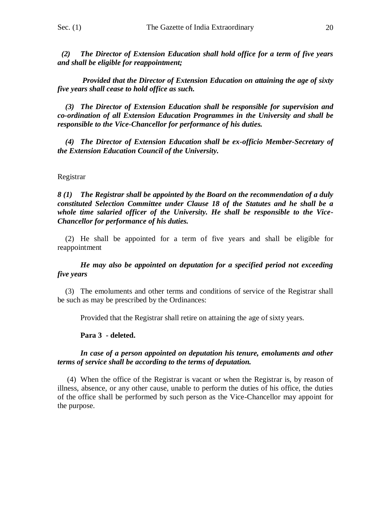*(2) The Director of Extension Education shall hold office for a term of five years and shall be eligible for reappointment;*

*Provided that the Director of Extension Education on attaining the age of sixty five years shall cease to hold office as such.*

 *(3) The Director of Extension Education shall be responsible for supervision and co-ordination of all Extension Education Programmes in the University and shall be responsible to the Vice-Chancellor for performance of his duties.*

 *(4) The Director of Extension Education shall be ex-officio Member-Secretary of the Extension Education Council of the University.*

#### Registrar

*8 (1) The Registrar shall be appointed by the Board on the recommendation of a duly constituted Selection Committee under Clause 18 of the Statutes and he shall be a whole time salaried officer of the University. He shall be responsible to the Vice-Chancellor for performance of his duties.*

 (2) He shall be appointed for a term of five years and shall be eligible for reappointment

#### *He may also be appointed on deputation for a specified period not exceeding five years*

 (3) The emoluments and other terms and conditions of service of the Registrar shall be such as may be prescribed by the Ordinances:

Provided that the Registrar shall retire on attaining the age of sixty years.

#### **Para 3 - deleted.**

#### *In case of a person appointed on deputation his tenure, emoluments and other terms of service shall be according to the terms of deputation.*

(4) When the office of the Registrar is vacant or when the Registrar is, by reason of illness, absence, or any other cause, unable to perform the duties of his office, the duties of the office shall be performed by such person as the Vice-Chancellor may appoint for the purpose.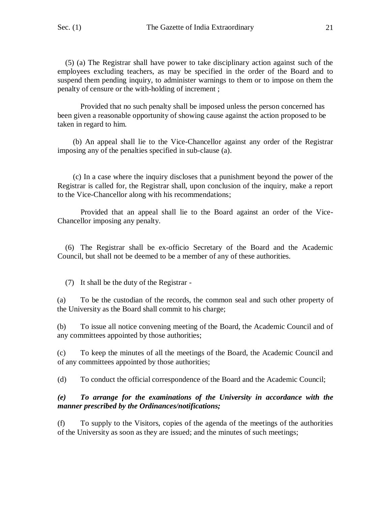(5) (a) The Registrar shall have power to take disciplinary action against such of the employees excluding teachers, as may be specified in the order of the Board and to suspend them pending inquiry, to administer warnings to them or to impose on them the penalty of censure or the with-holding of increment ;

Provided that no such penalty shall be imposed unless the person concerned has been given a reasonable opportunity of showing cause against the action proposed to be taken in regard to him.

 (b) An appeal shall lie to the Vice-Chancellor against any order of the Registrar imposing any of the penalties specified in sub-clause (a).

 (c) In a case where the inquiry discloses that a punishment beyond the power of the Registrar is called for, the Registrar shall, upon conclusion of the inquiry, make a report to the Vice-Chancellor along with his recommendations;

 Provided that an appeal shall lie to the Board against an order of the Vice-Chancellor imposing any penalty.

 (6) The Registrar shall be ex-officio Secretary of the Board and the Academic Council, but shall not be deemed to be a member of any of these authorities.

(7) It shall be the duty of the Registrar -

(a) To be the custodian of the records, the common seal and such other property of the University as the Board shall commit to his charge;

(b) To issue all notice convening meeting of the Board, the Academic Council and of any committees appointed by those authorities;

(c) To keep the minutes of all the meetings of the Board, the Academic Council and of any committees appointed by those authorities;

(d) To conduct the official correspondence of the Board and the Academic Council;

#### *(e) To arrange for the examinations of the University in accordance with the manner prescribed by the Ordinances/notifications;*

(f) To supply to the Visitors, copies of the agenda of the meetings of the authorities of the University as soon as they are issued; and the minutes of such meetings;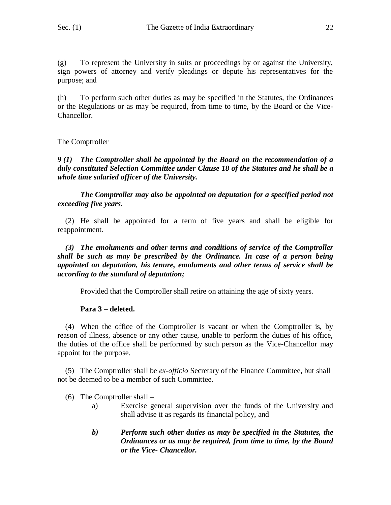(g) To represent the University in suits or proceedings by or against the University, sign powers of attorney and verify pleadings or depute his representatives for the purpose; and

(h) To perform such other duties as may be specified in the Statutes, the Ordinances or the Regulations or as may be required, from time to time, by the Board or the Vice-Chancellor.

# The Comptroller

*9 (1) The Comptroller shall be appointed by the Board on the recommendation of a duly constituted Selection Committee under Clause 18 of the Statutes and he shall be a whole time salaried officer of the University.*

*The Comptroller may also be appointed on deputation for a specified period not exceeding five years.*

 (2) He shall be appointed for a term of five years and shall be eligible for reappointment.

 *(3) The emoluments and other terms and conditions of service of the Comptroller shall be such as may be prescribed by the Ordinance. In case of a person being appointed on deputation, his tenure, emoluments and other terms of service shall be according to the standard of deputation;*

Provided that the Comptroller shall retire on attaining the age of sixty years.

### **Para 3 – deleted.**

 (4) When the office of the Comptroller is vacant or when the Comptroller is, by reason of illness, absence or any other cause, unable to perform the duties of his office, the duties of the office shall be performed by such person as the Vice-Chancellor may appoint for the purpose.

 (5) The Comptroller shall be *ex-officio* Secretary of the Finance Committee, but shall not be deemed to be a member of such Committee.

- (6) The Comptroller shall
	- a) Exercise general supervision over the funds of the University and shall advise it as regards its financial policy, and
	- *b) Perform such other duties as may be specified in the Statutes, the Ordinances or as may be required, from time to time, by the Board or the Vice- Chancellor.*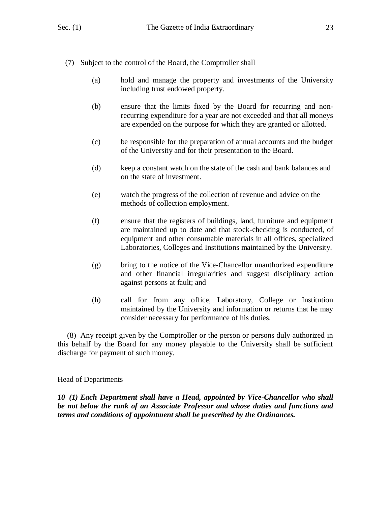- (7) Subject to the control of the Board, the Comptroller shall
	- (a) hold and manage the property and investments of the University including trust endowed property.
	- (b) ensure that the limits fixed by the Board for recurring and nonrecurring expenditure for a year are not exceeded and that all moneys are expended on the purpose for which they are granted or allotted.
	- (c) be responsible for the preparation of annual accounts and the budget of the University and for their presentation to the Board.
	- (d) keep a constant watch on the state of the cash and bank balances and on the state of investment.
	- (e) watch the progress of the collection of revenue and advice on the methods of collection employment.
	- (f) ensure that the registers of buildings, land, furniture and equipment are maintained up to date and that stock-checking is conducted, of equipment and other consumable materials in all offices, specialized Laboratories, Colleges and Institutions maintained by the University.
	- (g) bring to the notice of the Vice-Chancellor unauthorized expenditure and other financial irregularities and suggest disciplinary action against persons at fault; and
	- (h) call for from any office, Laboratory, College or Institution maintained by the University and information or returns that he may consider necessary for performance of his duties.

 (8) Any receipt given by the Comptroller or the person or persons duly authorized in this behalf by the Board for any money playable to the University shall be sufficient discharge for payment of such money.

Head of Departments

*10 (1) Each Department shall have a Head, appointed by Vice-Chancellor who shall be not below the rank of an Associate Professor and whose duties and functions and terms and conditions of appointment shall be prescribed by the Ordinances.*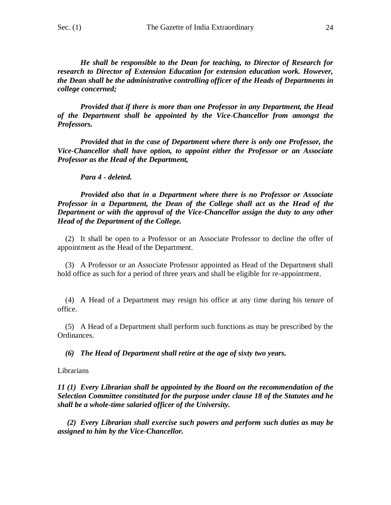*He shall be responsible to the Dean for teaching, to Director of Research for research to Director of Extension Education for extension education work. However, the Dean shall be the administrative controlling officer of the Heads of Departments in college concerned;*

*Provided that if there is more than one Professor in any Department, the Head of the Department shall be appointed by the Vice-Chancellor from amongst the Professors.*

*Provided that in the case of Department where there is only one Professor, the Vice-Chancellor shall have option, to appoint either the Professor or an Associate Professor as the Head of the Department,*

#### *Para 4 - deleted.*

*Provided also that in a Department where there is no Professor or Associate Professor in a Department, the Dean of the College shall act as the Head of the Department or with the approval of the Vice-Chancellor assign the duty to any other Head of the Department of the College.*

 (2) It shall be open to a Professor or an Associate Professor to decline the offer of appointment as the Head of the Department.

 (3) A Professor or an Associate Professor appointed as Head of the Department shall hold office as such for a period of three years and shall be eligible for re-appointment.

 (4) A Head of a Department may resign his office at any time during his tenure of office.

 (5) A Head of a Department shall perform such functions as may be prescribed by the Ordinances.

 *(6) The Head of Department shall retire at the age of sixty two years.*

Librarians

*11 (1) Every Librarian shall be appointed by the Board on the recommendation of the Selection Committee constituted for the purpose under clause 18 of the Statutes and he shall be a whole-time salaried officer of the University.*

 *(2) Every Librarian shall exercise such powers and perform such duties as may be assigned to him by the Vice-Chancellor.*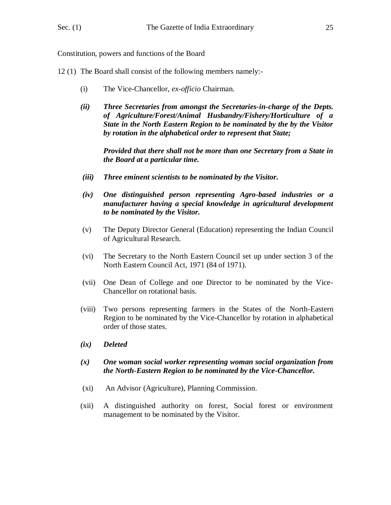Constitution, powers and functions of the Board

- 12 (1) The Board shall consist of the following members namely:-
	- (i) The Vice-Chancellor, *ex-officio* Chairman.
	- *(ii) Three Secretaries from amongst the Secretaries-in-charge of the Depts. of Agriculture/Forest/Animal Husbandry/Fishery/Horticulture of a State in the North Eastern Region to be nominated by the by the Visitor by rotation in the alphabetical order to represent that State;*

*Provided that there shall not be more than one Secretary from a State in the Board at a particular time.*

- *(iii) Three eminent scientists to be nominated by the Visitor.*
- *(iv) One distinguished person representing Agro-based industries or a manufacturer having a special knowledge in agricultural development to be nominated by the Visitor.*
- (v) The Deputy Director General (Education) representing the Indian Council of Agricultural Research.
- (vi) The Secretary to the North Eastern Council set up under section 3 of the North Eastern Council Act, 1971 (84 of 1971).
- (vii) One Dean of College and one Director to be nominated by the Vice-Chancellor on rotational basis.
- (viii) Two persons representing farmers in the States of the North-Eastern Region to be nominated by the Vice-Chancellor by rotation in alphabetical order of those states.
- *(ix) Deleted*
- *(x) One woman social worker representing woman social organization from the North-Eastern Region to be nominated by the Vice-Chancellor.*
- (xi) An Advisor (Agriculture), Planning Commission.
- (xii) A distinguished authority on forest, Social forest or environment management to be nominated by the Visitor.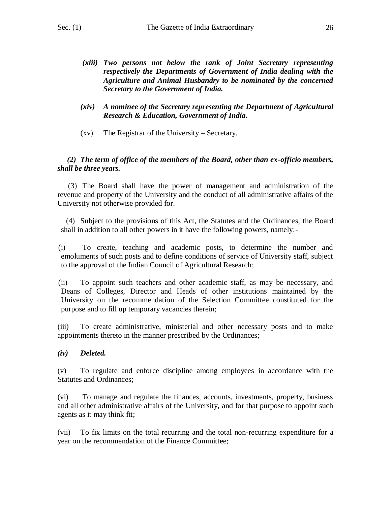- *(xiii) Two persons not below the rank of Joint Secretary representing respectively the Departments of Government of India dealing with the Agriculture and Animal Husbandry to be nominated by the concerned Secretary to the Government of India.*
- *(xiv) A nominee of the Secretary representing the Department of Agricultural Research & Education, Government of India.*
- (xv) The Registrar of the University Secretary.

### *(2) The term of office of the members of the Board, other than ex-officio members, shall be three years.*

 (3) The Board shall have the power of management and administration of the revenue and property of the University and the conduct of all administrative affairs of the University not otherwise provided for.

 (4) Subject to the provisions of this Act, the Statutes and the Ordinances, the Board shall in addition to all other powers in it have the following powers, namely:-

(i) To create, teaching and academic posts, to determine the number and emoluments of such posts and to define conditions of service of University staff, subject to the approval of the Indian Council of Agricultural Research;

(ii) To appoint such teachers and other academic staff, as may be necessary, and Deans of Colleges, Director and Heads of other institutions maintained by the University on the recommendation of the Selection Committee constituted for the purpose and to fill up temporary vacancies therein;

(iii) To create administrative, ministerial and other necessary posts and to make appointments thereto in the manner prescribed by the Ordinances;

### *(iv) Deleted.*

(v) To regulate and enforce discipline among employees in accordance with the Statutes and Ordinances;

(vi) To manage and regulate the finances, accounts, investments, property, business and all other administrative affairs of the University, and for that purpose to appoint such agents as it may think fit;

(vii) To fix limits on the total recurring and the total non-recurring expenditure for a year on the recommendation of the Finance Committee;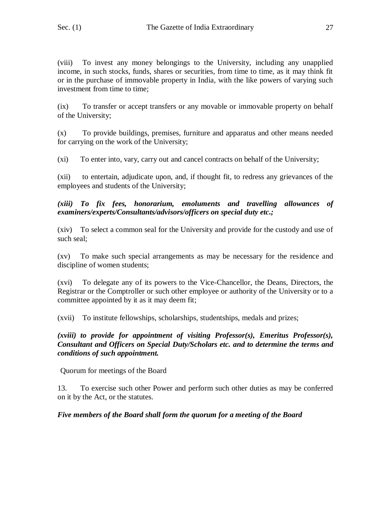(viii) To invest any money belongings to the University, including any unapplied income, in such stocks, funds, shares or securities, from time to time, as it may think fit or in the purchase of immovable property in India, with the like powers of varying such investment from time to time;

(ix) To transfer or accept transfers or any movable or immovable property on behalf of the University;

(x) To provide buildings, premises, furniture and apparatus and other means needed for carrying on the work of the University;

(xi) To enter into, vary, carry out and cancel contracts on behalf of the University;

(xii) to entertain, adjudicate upon, and, if thought fit, to redress any grievances of the employees and students of the University;

*(xiii) To fix fees, honorarium, emoluments and travelling allowances of examiners/experts/Consultants/advisors/officers on special duty etc.;*

(xiv) To select a common seal for the University and provide for the custody and use of such seal;

(xv) To make such special arrangements as may be necessary for the residence and discipline of women students;

(xvi) To delegate any of its powers to the Vice-Chancellor, the Deans, Directors, the Registrar or the Comptroller or such other employee or authority of the University or to a committee appointed by it as it may deem fit;

(xvii) To institute fellowships, scholarships, studentships, medals and prizes;

*(xviii) to provide for appointment of visiting Professor(s), Emeritus Professor(s), Consultant and Officers on Special Duty/Scholars etc. and to determine the terms and conditions of such appointment.*

Quorum for meetings of the Board

13. To exercise such other Power and perform such other duties as may be conferred on it by the Act, or the statutes.

# *Five members of the Board shall form the quorum for a meeting of the Board*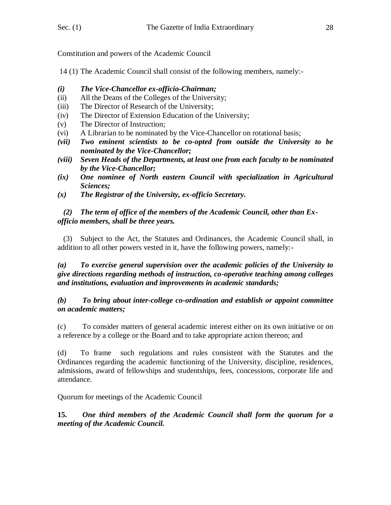Constitution and powers of the Academic Council

14 (1) The Academic Council shall consist of the following members, namely:-

- *(i) The Vice-Chancellor ex-officio-Chairman;*
- (ii) All the Deans of the Colleges of the University;
- (iii) The Director of Research of the University;
- (iv) The Director of Extension Education of the University;
- (v) The Director of Instruction;
- (vi) A Librarian to be nominated by the Vice-Chancellor on rotational basis;
- *(vii) Two eminent scientists to be co-opted from outside the University to be nominated by the Vice-Chancellor;*
- *(viii) Seven Heads of the Departments, at least one from each faculty to be nominated by the Vice-Chancellor;*
- *(ix) One nominee of North eastern Council with specialization in Agricultural Sciences;*
- *(x) The Registrar of the University, ex-officio Secretary.*

# *(2) The term of office of the members of the Academic Council, other than Exofficio members, shall be three years.*

 (3) Subject to the Act, the Statutes and Ordinances, the Academic Council shall, in addition to all other powers vested in it, have the following powers, namely:-

# *(a) To exercise general supervision over the academic policies of the University to give directions regarding methods of instruction, co-operative teaching among colleges and institutions, evaluation and improvements in academic standards;*

*(b) To bring about inter-college co-ordination and establish or appoint committee on academic matters;*

(c) To consider matters of general academic interest either on its own initiative or on a reference by a college or the Board and to take appropriate action thereon; and

(d) To frame such regulations and rules consistent with the Statutes and the Ordinances regarding the academic functioning of the University, discipline, residences, admissions, award of fellowships and studentships, fees, concessions, corporate life and attendance.

Quorum for meetings of the Academic Council

**15.** *One third members of the Academic Council shall form the quorum for a meeting of the Academic Council.*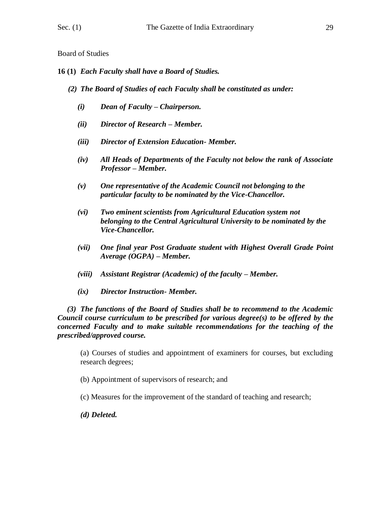- **16 (1)** *Each Faculty shall have a Board of Studies.*
	- *(2) The Board of Studies of each Faculty shall be constituted as under:*
		- *(i) Dean of Faculty – Chairperson.*
		- *(ii) Director of Research – Member.*
		- *(iii) Director of Extension Education- Member.*
		- *(iv) All Heads of Departments of the Faculty not below the rank of Associate Professor – Member.*
		- *(v) One representative of the Academic Council not belonging to the particular faculty to be nominated by the Vice-Chancellor.*
		- *(vi) Two eminent scientists from Agricultural Education system not belonging to the Central Agricultural University to be nominated by the Vice-Chancellor.*
		- *(vii) One final year Post Graduate student with Highest Overall Grade Point Average (OGPA) – Member.*
		- *(viii)* Assistant Registrar *(Academic)* of the faculty Member.
		- *(ix) Director Instruction- Member.*

 *(3) The functions of the Board of Studies shall be to recommend to the Academic Council course curriculum to be prescribed for various degree(s) to be offered by the concerned Faculty and to make suitable recommendations for the teaching of the prescribed/approved course.*

(a) Courses of studies and appointment of examiners for courses, but excluding research degrees;

(b) Appointment of supervisors of research; and

(c) Measures for the improvement of the standard of teaching and research;

*(d) Deleted.*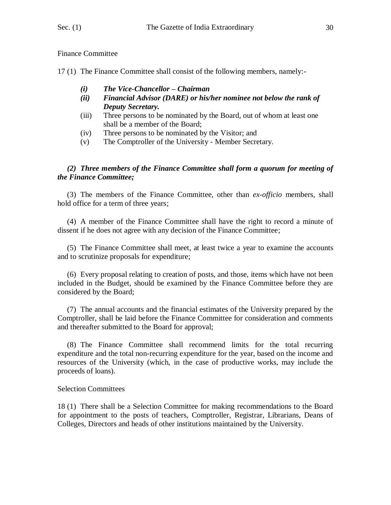Finance Committee

17 (1) The Finance Committee shall consist of the following members, namely:-

- *(i) The Vice-Chancellor – Chairman*
- *(ii) Financial Advisor (DARE) or his/her nominee not below the rank of Deputy Secretary.*
- (iii) Three persons to be nominated by the Board, out of whom at least one shall be a member of the Board;
- (iv) Three persons to be nominated by the Visitor; and
- (v) The Comptroller of the University Member Secretary.

### *(2) Three members of the Finance Committee shall form a quorum for meeting of the Finance Committee;*

 (3) The members of the Finance Committee, other than *ex-officio* members, shall hold office for a term of three years;

 (4) A member of the Finance Committee shall have the right to record a minute of dissent if he does not agree with any decision of the Finance Committee;

 (5) The Finance Committee shall meet, at least twice a year to examine the accounts and to scrutinize proposals for expenditure;

 (6) Every proposal relating to creation of posts, and those, items which have not been included in the Budget, should be examined by the Finance Committee before they are considered by the Board;

 (7) The annual accounts and the financial estimates of the University prepared by the Comptroller, shall be laid before the Finance Committee for consideration and comments and thereafter submitted to the Board for approval;

 (8) The Finance Committee shall recommend limits for the total recurring expenditure and the total non-recurring expenditure for the year, based on the income and resources of the University (which, in the case of productive works, may include the proceeds of loans).

#### Selection Committees

18 (1) There shall be a Selection Committee for making recommendations to the Board for appointment to the posts of teachers, Comptroller, Registrar, Librarians, Deans of Colleges, Directors and heads of other institutions maintained by the University.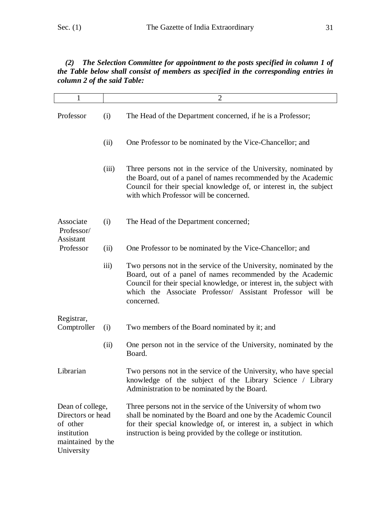# *(2) The Selection Committee for appointment to the posts specified in column 1 of the Table below shall consist of members as specified in the corresponding entries in column 2 of the said Table:*

| 1                                                                                                   |                  | $\overline{2}$                                                                                                                                                                                                                                                                        |
|-----------------------------------------------------------------------------------------------------|------------------|---------------------------------------------------------------------------------------------------------------------------------------------------------------------------------------------------------------------------------------------------------------------------------------|
| Professor                                                                                           | (i)              | The Head of the Department concerned, if he is a Professor;                                                                                                                                                                                                                           |
|                                                                                                     | (ii)             | One Professor to be nominated by the Vice-Chancellor; and                                                                                                                                                                                                                             |
|                                                                                                     | (iii)            | Three persons not in the service of the University, nominated by<br>the Board, out of a panel of names recommended by the Academic<br>Council for their special knowledge of, or interest in, the subject<br>with which Professor will be concerned.                                  |
| Associate<br>Professor/<br>Assistant                                                                | (i)              | The Head of the Department concerned;                                                                                                                                                                                                                                                 |
| Professor                                                                                           | (ii)             | One Professor to be nominated by the Vice-Chancellor; and                                                                                                                                                                                                                             |
|                                                                                                     | $\overline{111}$ | Two persons not in the service of the University, nominated by the<br>Board, out of a panel of names recommended by the Academic<br>Council for their special knowledge, or interest in, the subject with<br>which the Associate Professor/ Assistant Professor will be<br>concerned. |
| Registrar,                                                                                          |                  |                                                                                                                                                                                                                                                                                       |
| Comptroller                                                                                         | (i)              | Two members of the Board nominated by it; and                                                                                                                                                                                                                                         |
|                                                                                                     | (ii)             | One person not in the service of the University, nominated by the<br>Board.                                                                                                                                                                                                           |
| Librarian                                                                                           |                  | Two persons not in the service of the University, who have special<br>knowledge of the subject of the Library Science / Library<br>Administration to be nominated by the Board.                                                                                                       |
| Dean of college,<br>Directors or head<br>of other<br>institution<br>maintained by the<br>University |                  | Three persons not in the service of the University of whom two<br>shall be nominated by the Board and one by the Academic Council<br>for their special knowledge of, or interest in, a subject in which<br>instruction is being provided by the college or institution.               |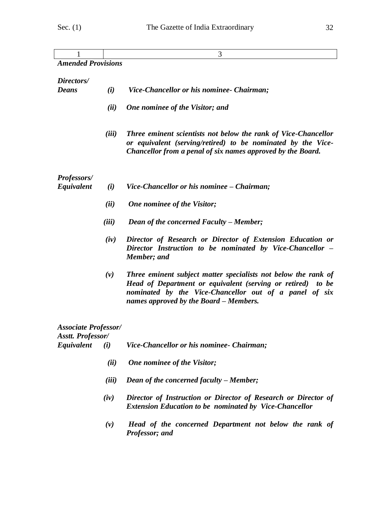| 1                                                       |       | 3                                                                                                                                                                                                                                 |
|---------------------------------------------------------|-------|-----------------------------------------------------------------------------------------------------------------------------------------------------------------------------------------------------------------------------------|
| <b>Amended Provisions</b>                               |       |                                                                                                                                                                                                                                   |
|                                                         |       |                                                                                                                                                                                                                                   |
| Directors/<br><b>Deans</b>                              | (i)   | Vice-Chancellor or his nominee- Chairman;                                                                                                                                                                                         |
|                                                         |       |                                                                                                                                                                                                                                   |
|                                                         | (ii)  | One nominee of the Visitor; and                                                                                                                                                                                                   |
|                                                         | (iii) | Three eminent scientists not below the rank of Vice-Chancellor<br>or equivalent (serving/retired) to be nominated by the Vice-<br>Chancellor from a penal of six names approved by the Board.                                     |
|                                                         |       |                                                                                                                                                                                                                                   |
| <b>Professors/</b><br>Equivalent                        | (i)   | Vice-Chancellor or his nominee – Chairman;                                                                                                                                                                                        |
|                                                         | (ii)  | One nominee of the Visitor;                                                                                                                                                                                                       |
|                                                         | (iii) | Dean of the concerned Faculty – Member;                                                                                                                                                                                           |
|                                                         | (iv)  | Director of Research or Director of Extension Education or<br>Director Instruction to be nominated by Vice-Chancellor –<br>Member; and                                                                                            |
|                                                         | (v)   | Three eminent subject matter specialists not below the rank of<br>Head of Department or equivalent (serving or retired) to be<br>nominated by the Vice-Chancellor out of a panel of six<br>names approved by the Board - Members. |
| <b>Associate Professor/</b><br><b>Asstt. Professor/</b> |       |                                                                                                                                                                                                                                   |
| Equivalent                                              | (i)   | Vice-Chancellor or his nominee- Chairman;                                                                                                                                                                                         |
|                                                         | (ii)  | One nominee of the Visitor;                                                                                                                                                                                                       |
|                                                         | (iii) | Dean of the concerned faculty – Member;                                                                                                                                                                                           |
|                                                         | (iv)  | Director of Instruction or Director of Research or Director of<br><b>Extension Education to be nominated by Vice-Chancellor</b>                                                                                                   |

*(v) Head of the concerned Department not below the rank of Professor; and*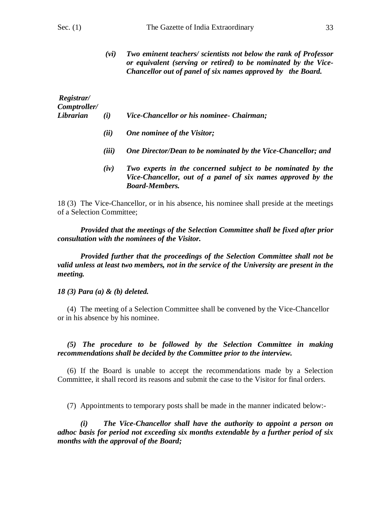*(vi) Two eminent teachers/ scientists not below the rank of Professor or equivalent (serving or retired) to be nominated by the Vice-Chancellor out of panel of six names approved by the Board.*

| Registrar/<br>Comptroller/ |      |                                                                                                                                                      |
|----------------------------|------|------------------------------------------------------------------------------------------------------------------------------------------------------|
| Librarian                  | (i)  | Vice-Chancellor or his nominee- Chairman;                                                                                                            |
|                            | (ii) | One nominee of the Visitor;                                                                                                                          |
|                            | (ii) | One Director/Dean to be nominated by the Vice-Chancellor; and                                                                                        |
|                            | (iv) | Two experts in the concerned subject to be nominated by the<br>Vice-Chancellor, out of a panel of six names approved by the<br><b>Board-Members.</b> |

18 (3) The Vice-Chancellor, or in his absence, his nominee shall preside at the meetings of a Selection Committee;

*Provided that the meetings of the Selection Committee shall be fixed after prior consultation with the nominees of the Visitor.*

*Provided further that the proceedings of the Selection Committee shall not be valid unless at least two members, not in the service of the University are present in the meeting.* 

*18 (3) Para (a) & (b) deleted.*

 (4) The meeting of a Selection Committee shall be convened by the Vice-Chancellor or in his absence by his nominee.

 *(5) The procedure to be followed by the Selection Committee in making recommendations shall be decided by the Committee prior to the interview.*

 (6) If the Board is unable to accept the recommendations made by a Selection Committee, it shall record its reasons and submit the case to the Visitor for final orders.

(7) Appointments to temporary posts shall be made in the manner indicated below:-

*(i) The Vice-Chancellor shall have the authority to appoint a person on adhoc basis for period not exceeding six months extendable by a further period of six months with the approval of the Board;*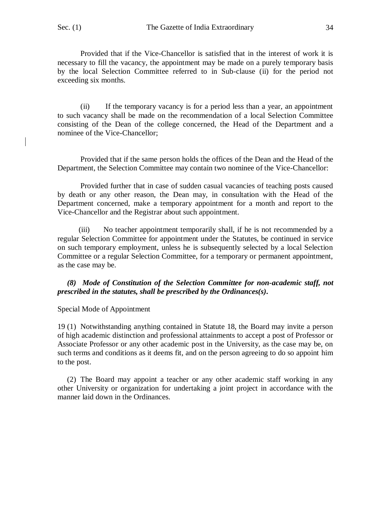Provided that if the Vice-Chancellor is satisfied that in the interest of work it is necessary to fill the vacancy, the appointment may be made on a purely temporary basis by the local Selection Committee referred to in Sub-clause (ii) for the period not exceeding six months.

(ii) If the temporary vacancy is for a period less than a year, an appointment to such vacancy shall be made on the recommendation of a local Selection Committee consisting of the Dean of the college concerned, the Head of the Department and a nominee of the Vice-Chancellor;

Provided that if the same person holds the offices of the Dean and the Head of the Department, the Selection Committee may contain two nominee of the Vice-Chancellor:

Provided further that in case of sudden casual vacancies of teaching posts caused by death or any other reason, the Dean may, in consultation with the Head of the Department concerned, make a temporary appointment for a month and report to the Vice-Chancellor and the Registrar about such appointment.

 (iii) No teacher appointment temporarily shall, if he is not recommended by a regular Selection Committee for appointment under the Statutes, be continued in service on such temporary employment, unless he is subsequently selected by a local Selection Committee or a regular Selection Committee, for a temporary or permanent appointment, as the case may be.

 *(8) Mode of Constitution of the Selection Committee for non-academic staff, not prescribed in the statutes, shall be prescribed by the Ordinances(s).*

Special Mode of Appointment

19 (1) Notwithstanding anything contained in Statute 18, the Board may invite a person of high academic distinction and professional attainments to accept a post of Professor or Associate Professor or any other academic post in the University, as the case may be, on such terms and conditions as it deems fit, and on the person agreeing to do so appoint him to the post.

 (2) The Board may appoint a teacher or any other academic staff working in any other University or organization for undertaking a joint project in accordance with the manner laid down in the Ordinances.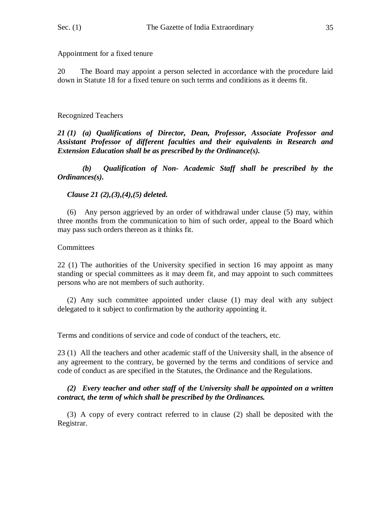Appointment for a fixed tenure

20 The Board may appoint a person selected in accordance with the procedure laid down in Statute 18 for a fixed tenure on such terms and conditions as it deems fit.

# Recognized Teachers

*21 (1) (a) Qualifications of Director, Dean, Professor, Associate Professor and Assistant Professor of different faculties and their equivalents in Research and Extension Education shall be as prescribed by the Ordinance(s).*

*(b) Qualification of Non- Academic Staff shall be prescribed by the Ordinances(s).*

# *Clause 21 (2),(3),(4),(5) deleted.*

 (6) Any person aggrieved by an order of withdrawal under clause (5) may, within three months from the communication to him of such order, appeal to the Board which may pass such orders thereon as it thinks fit.

# **Committees**

22 (1) The authorities of the University specified in section 16 may appoint as many standing or special committees as it may deem fit, and may appoint to such committees persons who are not members of such authority.

 (2) Any such committee appointed under clause (1) may deal with any subject delegated to it subject to confirmation by the authority appointing it.

Terms and conditions of service and code of conduct of the teachers, etc.

23 (1) All the teachers and other academic staff of the University shall, in the absence of any agreement to the contrary, be governed by the terms and conditions of service and code of conduct as are specified in the Statutes, the Ordinance and the Regulations.

# *(2) Every teacher and other staff of the University shall be appointed on a written contract, the term of which shall be prescribed by the Ordinances.*

 (3) A copy of every contract referred to in clause (2) shall be deposited with the Registrar.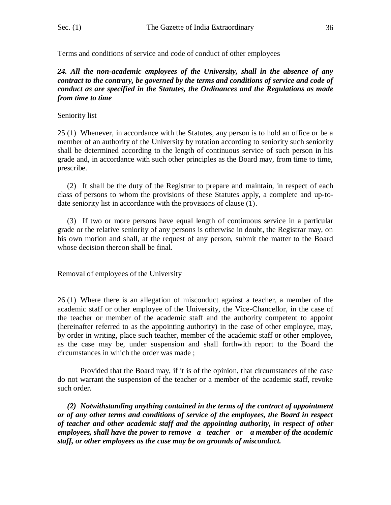Terms and conditions of service and code of conduct of other employees

#### *24. All the non-academic employees of the University, shall in the absence of any contract to the contrary, be governed by the terms and conditions of service and code of conduct as are specified in the Statutes, the Ordinances and the Regulations as made from time to time*

#### Seniority list

25 (1) Whenever, in accordance with the Statutes, any person is to hold an office or be a member of an authority of the University by rotation according to seniority such seniority shall be determined according to the length of continuous service of such person in his grade and, in accordance with such other principles as the Board may, from time to time, prescribe.

 (2) It shall be the duty of the Registrar to prepare and maintain, in respect of each class of persons to whom the provisions of these Statutes apply, a complete and up-todate seniority list in accordance with the provisions of clause (1).

 (3) If two or more persons have equal length of continuous service in a particular grade or the relative seniority of any persons is otherwise in doubt, the Registrar may, on his own motion and shall, at the request of any person, submit the matter to the Board whose decision thereon shall be final.

Removal of employees of the University

26 (1) Where there is an allegation of misconduct against a teacher, a member of the academic staff or other employee of the University, the Vice-Chancellor, in the case of the teacher or member of the academic staff and the authority competent to appoint (hereinafter referred to as the appointing authority) in the case of other employee, may, by order in writing, place such teacher, member of the academic staff or other employee, as the case may be, under suspension and shall forthwith report to the Board the circumstances in which the order was made ;

Provided that the Board may, if it is of the opinion, that circumstances of the case do not warrant the suspension of the teacher or a member of the academic staff, revoke such order.

 *(2) Notwithstanding anything contained in the terms of the contract of appointment or of any other terms and conditions of service of the employees, the Board in respect of teacher and other academic staff and the appointing authority, in respect of other employees, shall have the power to remove a teacher or a member of the academic staff, or other employees as the case may be on grounds of misconduct.*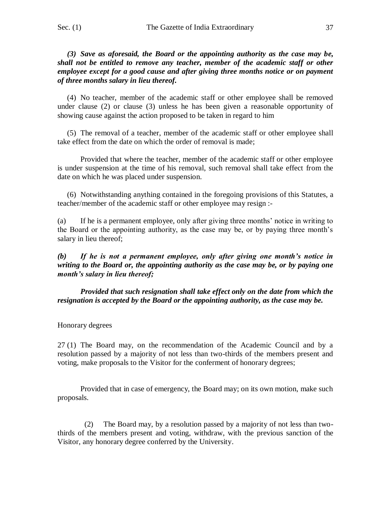*(3) Save as aforesaid, the Board or the appointing authority as the case may be, shall not be entitled to remove any teacher, member of the academic staff or other employee except for a good cause and after giving three months notice or on payment of three months salary in lieu thereof.*

 (4) No teacher, member of the academic staff or other employee shall be removed under clause (2) or clause (3) unless he has been given a reasonable opportunity of showing cause against the action proposed to be taken in regard to him

 (5) The removal of a teacher, member of the academic staff or other employee shall take effect from the date on which the order of removal is made;

Provided that where the teacher, member of the academic staff or other employee is under suspension at the time of his removal, such removal shall take effect from the date on which he was placed under suspension.

 (6) Notwithstanding anything contained in the foregoing provisions of this Statutes, a teacher/member of the academic staff or other employee may resign :-

(a) If he is a permanent employee, only after giving three months' notice in writing to the Board or the appointing authority, as the case may be, or by paying three month's salary in lieu thereof;

*(b) If he is not a permanent employee, only after giving one month's notice in writing to the Board or, the appointing authority as the case may be, or by paying one month's salary in lieu thereof;*

*Provided that such resignation shall take effect only on the date from which the resignation is accepted by the Board or the appointing authority, as the case may be.*

#### Honorary degrees

27 (1) The Board may, on the recommendation of the Academic Council and by a resolution passed by a majority of not less than two-thirds of the members present and voting, make proposals to the Visitor for the conferment of honorary degrees;

Provided that in case of emergency, the Board may; on its own motion, make such proposals.

 (2) The Board may, by a resolution passed by a majority of not less than twothirds of the members present and voting, withdraw, with the previous sanction of the Visitor, any honorary degree conferred by the University.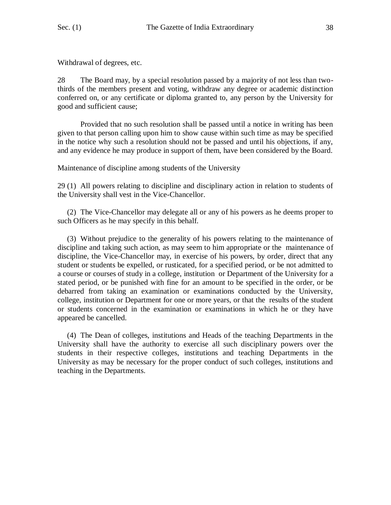Withdrawal of degrees, etc.

28 The Board may, by a special resolution passed by a majority of not less than twothirds of the members present and voting, withdraw any degree or academic distinction conferred on, or any certificate or diploma granted to, any person by the University for good and sufficient cause;

Provided that no such resolution shall be passed until a notice in writing has been given to that person calling upon him to show cause within such time as may be specified in the notice why such a resolution should not be passed and until his objections, if any, and any evidence he may produce in support of them, have been considered by the Board.

Maintenance of discipline among students of the University

29 (1) All powers relating to discipline and disciplinary action in relation to students of the University shall vest in the Vice-Chancellor.

 (2) The Vice-Chancellor may delegate all or any of his powers as he deems proper to such Officers as he may specify in this behalf.

 (3) Without prejudice to the generality of his powers relating to the maintenance of discipline and taking such action, as may seem to him appropriate or the maintenance of discipline, the Vice-Chancellor may, in exercise of his powers, by order, direct that any student or students be expelled, or rusticated, for a specified period, or be not admitted to a course or courses of study in a college, institution or Department of the University for a stated period, or be punished with fine for an amount to be specified in the order, or be debarred from taking an examination or examinations conducted by the University, college, institution or Department for one or more years, or that the results of the student or students concerned in the examination or examinations in which he or they have appeared be cancelled.

 (4) The Dean of colleges, institutions and Heads of the teaching Departments in the University shall have the authority to exercise all such disciplinary powers over the students in their respective colleges, institutions and teaching Departments in the University as may be necessary for the proper conduct of such colleges, institutions and teaching in the Departments.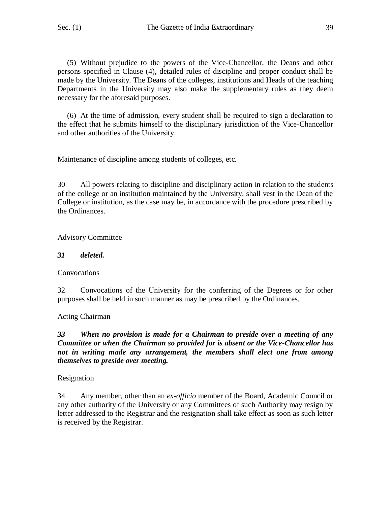(5) Without prejudice to the powers of the Vice-Chancellor, the Deans and other persons specified in Clause (4), detailed rules of discipline and proper conduct shall be made by the University. The Deans of the colleges, institutions and Heads of the teaching Departments in the University may also make the supplementary rules as they deem necessary for the aforesaid purposes.

 (6) At the time of admission, every student shall be required to sign a declaration to the effect that he submits himself to the disciplinary jurisdiction of the Vice-Chancellor and other authorities of the University.

Maintenance of discipline among students of colleges, etc.

30 All powers relating to discipline and disciplinary action in relation to the students of the college or an institution maintained by the University, shall vest in the Dean of the College or institution, as the case may be, in accordance with the procedure prescribed by the Ordinances.

Advisory Committee

### *31 deleted.*

**Convocations** 

32 Convocations of the University for the conferring of the Degrees or for other purposes shall be held in such manner as may be prescribed by the Ordinances.

Acting Chairman

*33 When no provision is made for a Chairman to preside over a meeting of any Committee or when the Chairman so provided for is absent or the Vice-Chancellor has not in writing made any arrangement, the members shall elect one from among themselves to preside over meeting.*

Resignation

34 Any member, other than an *ex-officio* member of the Board, Academic Council or any other authority of the University or any Committees of such Authority may resign by letter addressed to the Registrar and the resignation shall take effect as soon as such letter is received by the Registrar.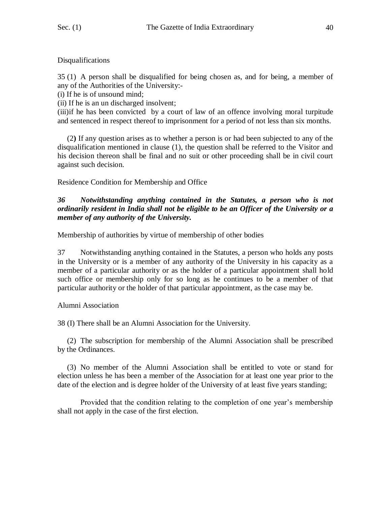#### Disqualifications

35 (1) A person shall be disqualified for being chosen as, and for being, a member of any of the Authorities of the University:-

(i) If he is of unsound mind;

(ii) If he is an un discharged insolvent;

(iii)if he has been convicted by a court of law of an offence involving moral turpitude and sentenced in respect thereof to imprisonment for a period of not less than six months.

 (2**)** If any question arises as to whether a person is or had been subjected to any of the disqualification mentioned in clause (1), the question shall be referred to the Visitor and his decision thereon shall be final and no suit or other proceeding shall be in civil court against such decision.

Residence Condition for Membership and Office

### *36 Notwithstanding anything contained in the Statutes, a person who is not ordinarily resident in India shall not be eligible to be an Officer of the University or a member of any authority of the University.*

Membership of authorities by virtue of membership of other bodies

37 Notwithstanding anything contained in the Statutes, a person who holds any posts in the University or is a member of any authority of the University in his capacity as a member of a particular authority or as the holder of a particular appointment shall hold such office or membership only for so long as he continues to be a member of that particular authority or the holder of that particular appointment, as the case may be.

### Alumni Association

38 (I) There shall be an Alumni Association for the University.

 (2) The subscription for membership of the Alumni Association shall be prescribed by the Ordinances.

 (3) No member of the Alumni Association shall be entitled to vote or stand for election unless he has been a member of the Association for at least one year prior to the date of the election and is degree holder of the University of at least five years standing;

Provided that the condition relating to the completion of one year's membership shall not apply in the case of the first election.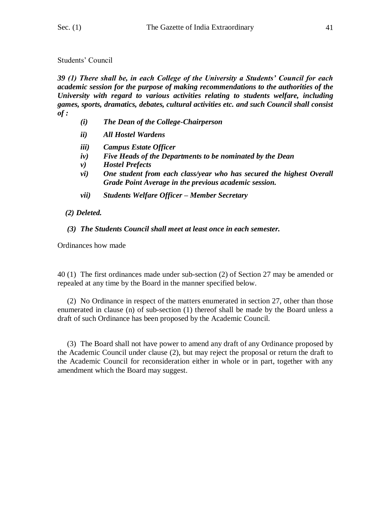#### Students' Council

*39 (1) There shall be, in each College of the University a Students' Council for each academic session for the purpose of making recommendations to the authorities of the University with regard to various activities relating to students welfare, including games, sports, dramatics, debates, cultural activities etc. and such Council shall consist of :*

- *(i) The Dean of the College-Chairperson*
- *ii) All Hostel Wardens*
- *iii) Campus Estate Officer*
- *iv) Five Heads of the Departments to be nominated by the Dean*
- *v) Hostel Prefects*
- *vi) One student from each class/year who has secured the highest Overall Grade Point Average in the previous academic session.*
- *vii) Students Welfare Officer – Member Secretary*

# *(2) Deleted.*

# *(3) The Students Council shall meet at least once in each semester.*

Ordinances how made

40 (1) The first ordinances made under sub-section (2) of Section 27 may be amended or repealed at any time by the Board in the manner specified below.

 (2) No Ordinance in respect of the matters enumerated in section 27, other than those enumerated in clause (n) of sub-section (1) thereof shall be made by the Board unless a draft of such Ordinance has been proposed by the Academic Council.

 (3) The Board shall not have power to amend any draft of any Ordinance proposed by the Academic Council under clause (2), but may reject the proposal or return the draft to the Academic Council for reconsideration either in whole or in part, together with any amendment which the Board may suggest.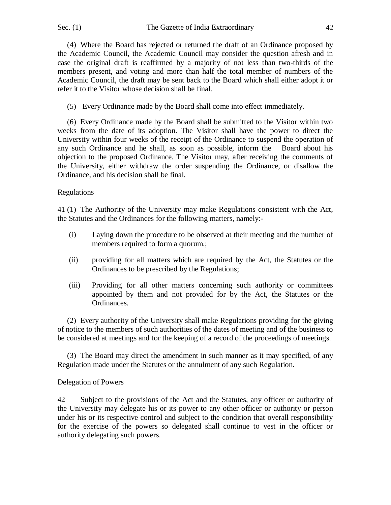(4) Where the Board has rejected or returned the draft of an Ordinance proposed by the Academic Council, the Academic Council may consider the question afresh and in case the original draft is reaffirmed by a majority of not less than two-thirds of the members present, and voting and more than half the total member of numbers of the Academic Council, the draft may be sent back to the Board which shall either adopt it or refer it to the Visitor whose decision shall be final.

(5) Every Ordinance made by the Board shall come into effect immediately.

 (6) Every Ordinance made by the Board shall be submitted to the Visitor within two weeks from the date of its adoption. The Visitor shall have the power to direct the University within four weeks of the receipt of the Ordinance to suspend the operation of any such Ordinance and he shall, as soon as possible, inform the Board about his objection to the proposed Ordinance. The Visitor may, after receiving the comments of the University, either withdraw the order suspending the Ordinance, or disallow the Ordinance, and his decision shall be final.

# Regulations

41 (1) The Authority of the University may make Regulations consistent with the Act, the Statutes and the Ordinances for the following matters, namely:-

- (i) Laying down the procedure to be observed at their meeting and the number of members required to form a quorum.;
- (ii) providing for all matters which are required by the Act, the Statutes or the Ordinances to be prescribed by the Regulations;
- (iii) Providing for all other matters concerning such authority or committees appointed by them and not provided for by the Act, the Statutes or the Ordinances.

 (2) Every authority of the University shall make Regulations providing for the giving of notice to the members of such authorities of the dates of meeting and of the business to be considered at meetings and for the keeping of a record of the proceedings of meetings.

 (3) The Board may direct the amendment in such manner as it may specified, of any Regulation made under the Statutes or the annulment of any such Regulation.

### Delegation of Powers

42 Subject to the provisions of the Act and the Statutes, any officer or authority of the University may delegate his or its power to any other officer or authority or person under his or its respective control and subject to the condition that overall responsibility for the exercise of the powers so delegated shall continue to vest in the officer or authority delegating such powers.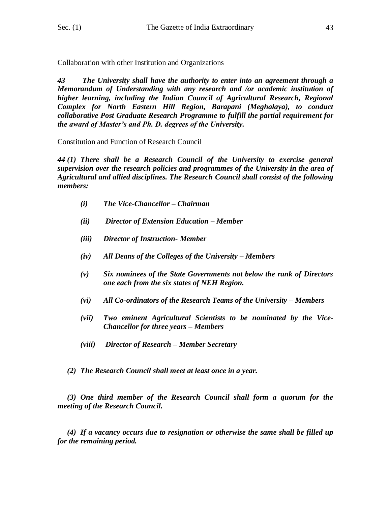Collaboration with other Institution and Organizations

*43 The University shall have the authority to enter into an agreement through a Memorandum of Understanding with any research and /or academic institution of higher learning, including the Indian Council of Agricultural Research, Regional Complex for North Eastern Hill Region, Barapani (Meghalaya), to conduct collaborative Post Graduate Research Programme to fulfill the partial requirement for the award of Master's and Ph. D. degrees of the University.* 

Constitution and Function of Research Council

*44 (1) There shall be a Research Council of the University to exercise general supervision over the research policies and programmes of the University in the area of Agricultural and allied disciplines. The Research Council shall consist of the following members:*

- *(i) The Vice-Chancellor – Chairman*
- *(ii) Director of Extension Education – Member*
- *(iii) Director of Instruction- Member*
- *(iv) All Deans of the Colleges of the University – Members*
- *(v) Six nominees of the State Governments not below the rank of Directors one each from the six states of NEH Region.*
- *(vi)* All Co-ordinators of the Research Teams of the University Members
- *(vii) Two eminent Agricultural Scientists to be nominated by the Vice-Chancellor for three years – Members*
- *(viii) Director of Research – Member Secretary*
- *(2) The Research Council shall meet at least once in a year.*

 *(3) One third member of the Research Council shall form a quorum for the meeting of the Research Council.*

 *(4) If a vacancy occurs due to resignation or otherwise the same shall be filled up for the remaining period.*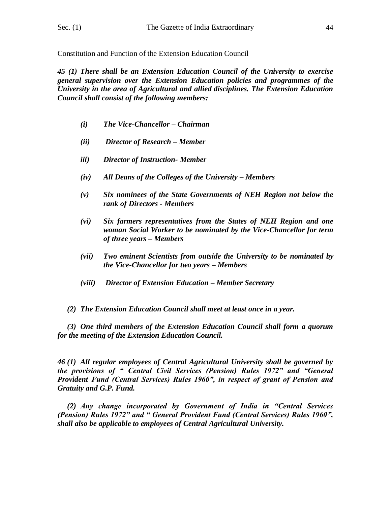Constitution and Function of the Extension Education Council

*45 (1) There shall be an Extension Education Council of the University to exercise general supervision over the Extension Education policies and programmes of the University in the area of Agricultural and allied disciplines. The Extension Education Council shall consist of the following members:*

- *(i) The Vice-Chancellor – Chairman*
- *(ii) Director of Research – Member*
- *iii) Director of Instruction- Member*
- *(iv) All Deans of the Colleges of the University – Members*
- *(v) Six nominees of the State Governments of NEH Region not below the rank of Directors - Members*
- *(vi) Six farmers representatives from the States of NEH Region and one woman Social Worker to be nominated by the Vice-Chancellor for term of three years – Members*
- *(vii) Two eminent Scientists from outside the University to be nominated by the Vice-Chancellor for two years – Members*
- *(viii) Director of Extension Education – Member Secretary*

 *(2) The Extension Education Council shall meet at least once in a year.*

 *(3) One third members of the Extension Education Council shall form a quorum for the meeting of the Extension Education Council.*

*46 (1) All regular employees of Central Agricultural University shall be governed by the provisions of " Central Civil Services (Pension) Rules 1972" and "General Provident Fund (Central Services) Rules 1960", in respect of grant of Pension and Gratuity and G.P. Fund.*

 *(2) Any change incorporated by Government of India in "Central Services (Pension) Rules 1972" and " General Provident Fund (Central Services) Rules 1960", shall also be applicable to employees of Central Agricultural University.*